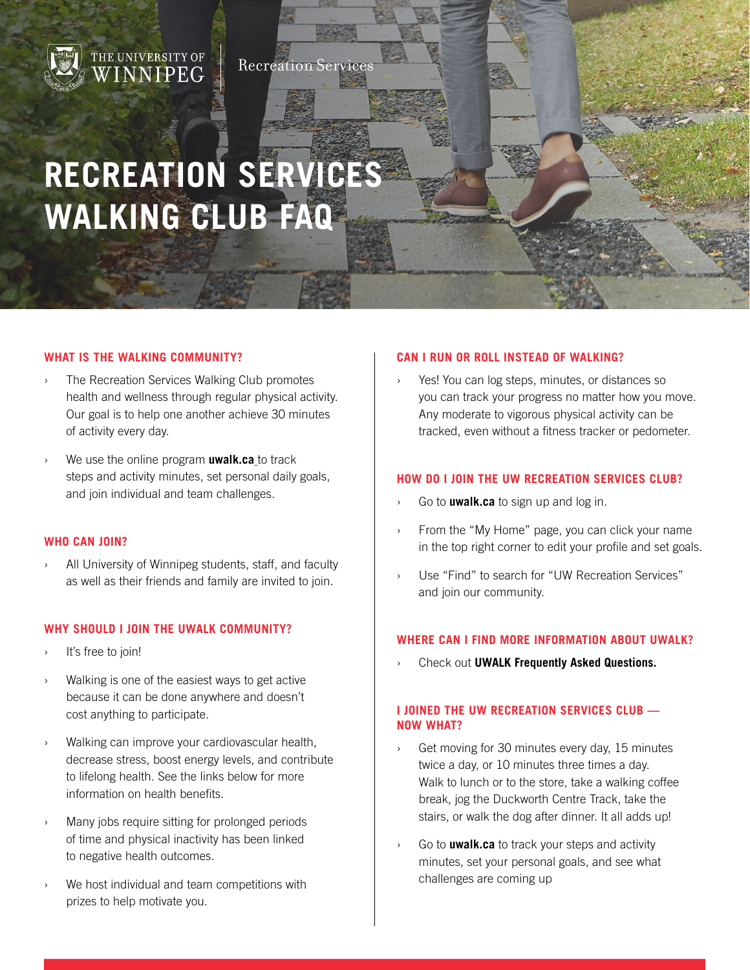

# **RECREATION SERVICES WALKING CLUB FAQ**

Recreation Services

#### **WHAT IS THE WALKING COMMUNITY?**

THE UNIVERSITY OF **INNIPEG** 

- The Recreation Services Walking Club promotes health and wellness through regular physical activity. Our goal is to help one another achieve 30 minutes of activity every day.
- We use the online program **[uwalk.ca](https://uwalk.ca/)** to track steps and activity minutes, set personal daily goals, and join individual and team challenges.

## **WHO CAN JOIN?**

All University of Winnipeg students, staff, and faculty as well as their friends and family are invited to join.

## **WHY SHOULD I JOIN THE UWALK COMMUNITY?**

- It's free to join!
- Walking is one of the easiest ways to get active because it can be done anywhere and doesn't cost anything to participate.
- Walking can improve your cardiovascular health, decrease stress, boost energy levels, and contribute to lifelong health. See the links below for more information on health benefits.
- Many jobs require sitting for prolonged periods of time and physical inactivity has been linked to negative health outcomes.
- We host individual and team competitions with prizes to help motivate you.

## **CAN I RUN OR ROLL INSTEAD OF WALKING?**

Yes! You can log steps, minutes, or distances so you can track your progress no matter how you move. Any moderate to vigorous physical activity can be tracked, even without a fitness tracker or pedometer.

#### **HOW DO I JOIN THE UW RECREATION SERVICES CLUB?**

- Go to **[uwalk.ca](https://uwalk.ca/)** to sign up and log in.
- From the "My Home" page, you can click your name in the top right corner to edit your profile and set goals.
- Use "Find" to search for "UW Recreation Services" and join our community.

## **WHERE CAN I FIND MORE INFORMATION ABOUT UWALK?**

› Check out **[UWALK Frequently Asked Questions.](https://uwalk.ca/faqs/)**

## **I JOINED THE UW RECREATION SERVICES CLUB — NOW WHAT?**

- Get moving for 30 minutes every day, 15 minutes twice a day, or 10 minutes three times a day. Walk to lunch or to the store, take a walking coffee break, jog the Duckworth Centre Track, take the stairs, or walk the dog after dinner. It all adds up!
- Go to **[uwalk.ca](http://uwalk.ca/)** to track your steps and activity minutes, set your personal goals, and see what challenges are coming up